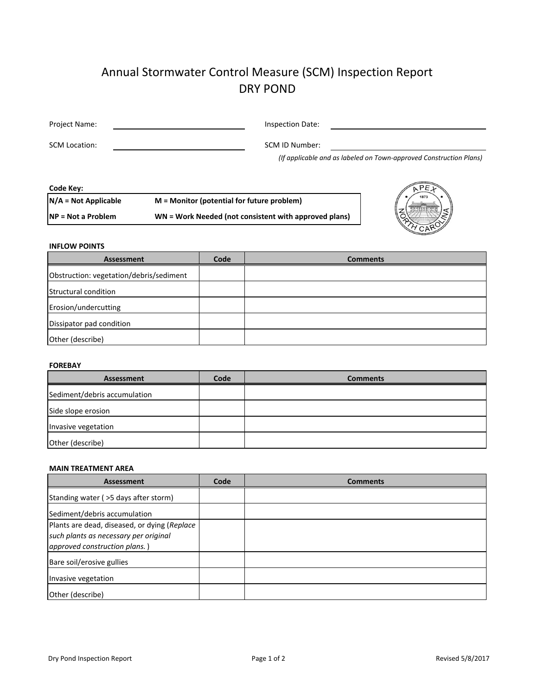# Annual Stormwater Control Measure (SCM) Inspection Report DRY POND

| Project Name: | Inspection Date:         |  |
|---------------|--------------------------|--|
| SCM Location: | SCM ID Number:<br>$\sim$ |  |

*(If applicable and as labeled on Town‐approved Construction Plans)*

| $M =$ Monitor (potential for future problem)          |
|-------------------------------------------------------|
| WN = Work Needed (not consistent with approved plans) |
|                                                       |



## **INFLOW POINTS**

| Assessment                              | Code | <b>Comments</b> |
|-----------------------------------------|------|-----------------|
| Obstruction: vegetation/debris/sediment |      |                 |
| Structural condition                    |      |                 |
| Erosion/undercutting                    |      |                 |
| Dissipator pad condition                |      |                 |
| Other (describe)                        |      |                 |

### **FOREBAY**

| Assessment                   | Code | <b>Comments</b> |
|------------------------------|------|-----------------|
| Sediment/debris accumulation |      |                 |
| Side slope erosion           |      |                 |
| Invasive vegetation          |      |                 |
| Other (describe)             |      |                 |

#### **MAIN TREATMENT AREA**

| <b>Assessment</b>                                                                                                      | Code | <b>Comments</b> |
|------------------------------------------------------------------------------------------------------------------------|------|-----------------|
| Standing water ( > 5 days after storm)                                                                                 |      |                 |
| Sediment/debris accumulation                                                                                           |      |                 |
| Plants are dead, diseased, or dying (Replace<br>such plants as necessary per original<br>approved construction plans.) |      |                 |
| Bare soil/erosive gullies                                                                                              |      |                 |
| Invasive vegetation                                                                                                    |      |                 |
| Other (describe)                                                                                                       |      |                 |